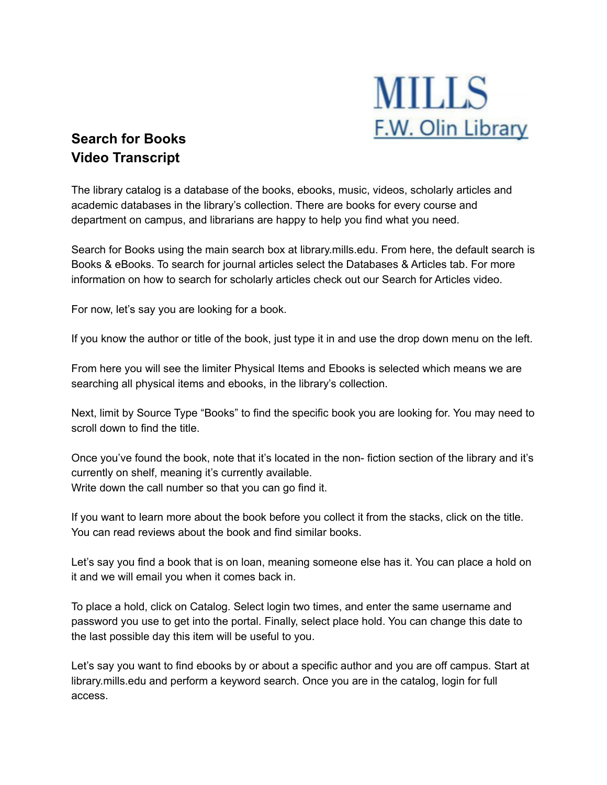

## **Search for Books Video Transcript**

The library catalog is a database of the books, ebooks, music, videos, scholarly articles and academic databases in the library's collection. There are books for every course and department on campus, and librarians are happy to help you find what you need.

Search for Books using the main search box at library.mills.edu. From here, the default search is Books & eBooks. To search for journal articles select the Databases & Articles tab. For more information on how to search for scholarly articles check out our Search for Articles video.

For now, let's say you are looking for a book.

If you know the author or title of the book, just type it in and use the drop down menu on the left.

From here you will see the limiter Physical Items and Ebooks is selected which means we are searching all physical items and ebooks, in the library's collection.

Next, limit by Source Type "Books" to find the specific book you are looking for. You may need to scroll down to find the title.

Once you've found the book, note that it's located in the non- fiction section of the library and it's currently on shelf, meaning it's currently available. Write down the call number so that you can go find it.

If you want to learn more about the book before you collect it from the stacks, click on the title. You can read reviews about the book and find similar books.

Let's say you find a book that is on loan, meaning someone else has it. You can place a hold on it and we will email you when it comes back in.

To place a hold, click on Catalog. Select login two times, and enter the same username and password you use to get into the portal. Finally, select place hold. You can change this date to the last possible day this item will be useful to you.

Let's say you want to find ebooks by or about a specific author and you are off campus. Start at library.mills.edu and perform a keyword search. Once you are in the catalog, login for full access.